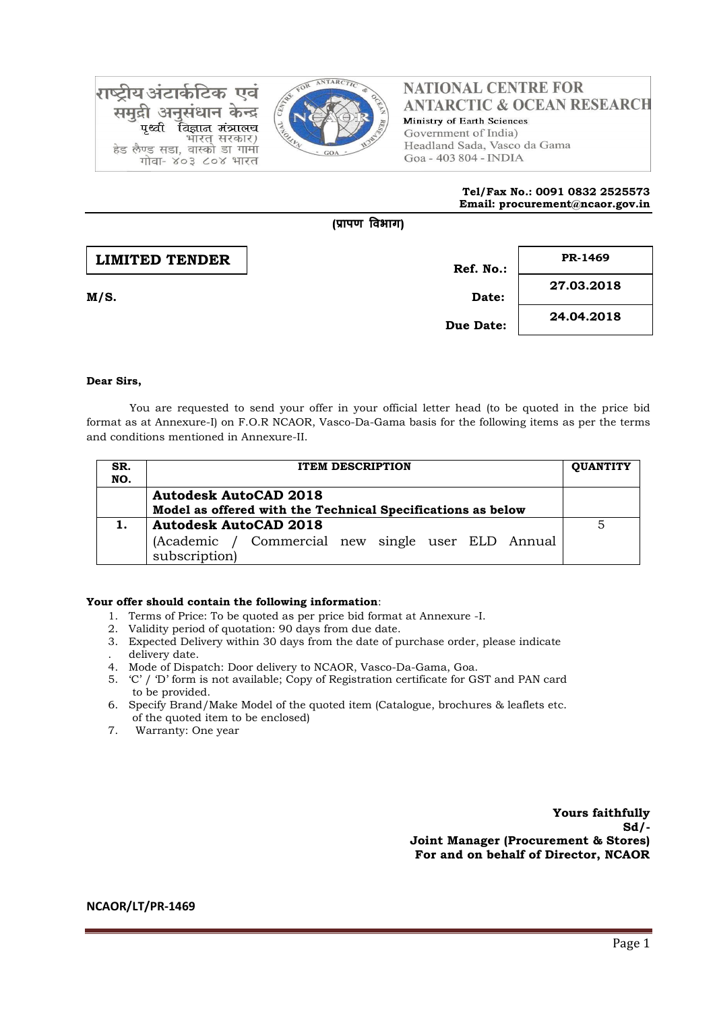

राष्टीय अंटार्कटिक एवं समद्री अनसंधान केन्द्र विज्ञान मंत्रालय पश्ची भारत सरकार) हेड लैण्ड सडा, वास्को डा गामा गोवा- ४०३ ८०४ भारत

## **NATIONAL CENTRE FOR ANTARCTIC & OCEAN RESEARCH** Ministry of Earth Sciences Government of India) Headland Sada, Vasco da Gama Goa - 403 804 - INDIA

#### **Tel/Fax No.: 0091 0832 2525573 Email: procurement@ncaor.gov.in**

# **Ref. No.: M/S. Date: Due Date: 27.03.2018 24.04.2018 LIMITED TENDER PR-1469**

**(प्रापण विभाग)**

### **Dear Sirs,**

You are requested to send your offer in your official letter head (to be quoted in the price bid format as at Annexure-I) on F.O.R NCAOR, Vasco-Da-Gama basis for the following items as per the terms and conditions mentioned in Annexure-II.

| SR.<br>NO. | <b>ITEM DESCRIPTION</b>                                                                            |  |  |  |  |  |
|------------|----------------------------------------------------------------------------------------------------|--|--|--|--|--|
|            | <b>Autodesk AutoCAD 2018</b><br>Model as offered with the Technical Specifications as below        |  |  |  |  |  |
|            | <b>Autodesk AutoCAD 2018</b><br>(Academic / Commercial new single user ELD Annual<br>subscription) |  |  |  |  |  |

#### **Your offer should contain the following information**:

- 1. Terms of Price: To be quoted as per price bid format at Annexure -I.
- 2. Validity period of quotation: 90 days from due date.
- 3. Expected Delivery within 30 days from the date of purchase order, please indicate . delivery date.
- 4. Mode of Dispatch: Door delivery to NCAOR, Vasco-Da-Gama, Goa.
- 5. 'C' / 'D' form is not available; Copy of Registration certificate for GST and PAN card to be provided.
- 6. Specify Brand/Make Model of the quoted item (Catalogue, brochures & leaflets etc. of the quoted item to be enclosed)
- 7. Warranty: One year

**Yours faithfully Sd/- Joint Manager (Procurement & Stores) For and on behalf of Director, NCAOR**

**NCAOR/LT/PR-1469**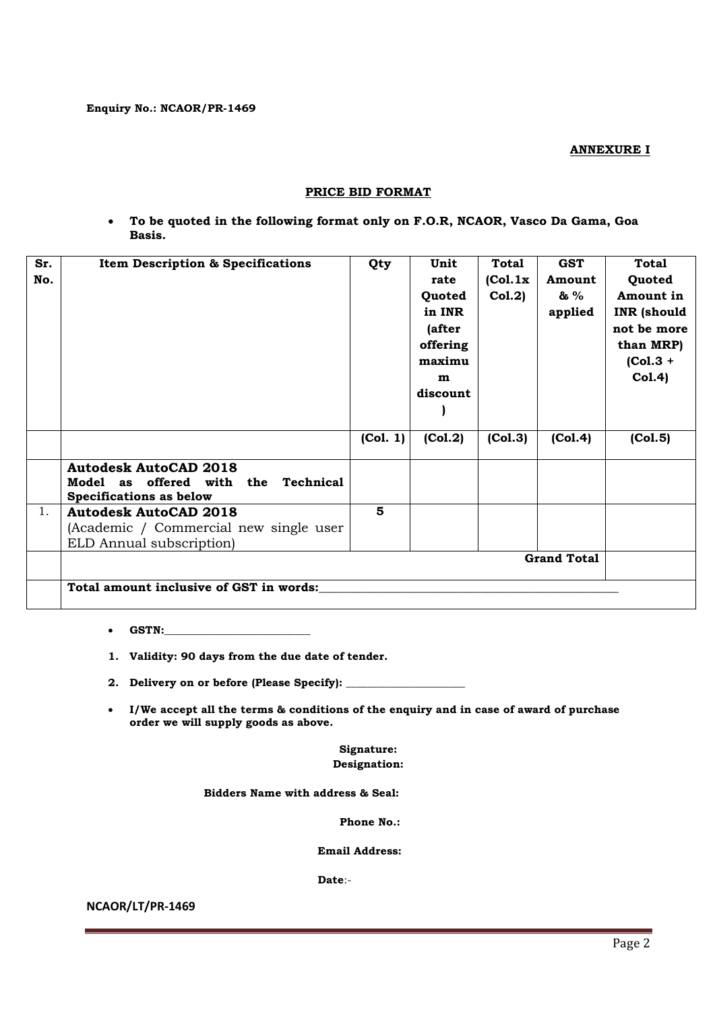**ANNEXURE I**

## **PRICE BID FORMAT**

 **To be quoted in the following format only on F.O.R, NCAOR, Vasco Da Gama, Goa Basis.**

| Sr. | <b>Item Description &amp; Specifications</b>     | Qty      | Unit     | Total    | <b>GST</b> | <b>Total</b>       |  |  |
|-----|--------------------------------------------------|----------|----------|----------|------------|--------------------|--|--|
| No. |                                                  |          | rate     | (Col.1x) | Amount     | Quoted             |  |  |
|     |                                                  |          | Quoted   | Col.2)   | & %        | Amount in          |  |  |
|     |                                                  |          | in INR   |          | applied    | <b>INR</b> (should |  |  |
|     |                                                  |          | (after   |          |            | not be more        |  |  |
|     |                                                  |          | offering |          |            | than MRP)          |  |  |
|     |                                                  |          | maximu   |          |            | $(Col.3 +$         |  |  |
|     |                                                  |          | m        |          |            | Col.4)             |  |  |
|     |                                                  |          | discount |          |            |                    |  |  |
|     |                                                  |          |          |          |            |                    |  |  |
|     |                                                  |          |          |          |            |                    |  |  |
|     |                                                  | (Col. 1) | (Col.2)  | (Col.3)  | (Col.4)    | (Col.5)            |  |  |
|     | <b>Autodesk AutoCAD 2018</b>                     |          |          |          |            |                    |  |  |
|     | <b>Technical</b><br>Model as<br>offered with the |          |          |          |            |                    |  |  |
|     | <b>Specifications as below</b>                   |          |          |          |            |                    |  |  |
| 1.  | <b>Autodesk AutoCAD 2018</b>                     | 5        |          |          |            |                    |  |  |
|     | (Academic / Commercial new single user           |          |          |          |            |                    |  |  |
|     | ELD Annual subscription)                         |          |          |          |            |                    |  |  |
|     | <b>Grand Total</b>                               |          |          |          |            |                    |  |  |
|     | Total amount inclusive of GST in words:          |          |          |          |            |                    |  |  |
|     |                                                  |          |          |          |            |                    |  |  |

- **GSTN:\_\_\_\_\_\_\_\_\_\_\_\_\_\_\_\_\_\_\_\_\_\_\_\_\_\_\_**
- **1. Validity: 90 days from the due date of tender.**
- **2. Delivery on or before (Please Specify): \_\_\_\_\_\_\_\_\_\_\_\_\_\_\_\_\_\_\_\_\_\_**
- **I/We accept all the terms & conditions of the enquiry and in case of award of purchase order we will supply goods as above.**

**Signature: Designation:**

 **Bidders Name with address & Seal:**

**Phone No.:**

 **Email Address:**

 **Date**:-

**NCAOR/LT/PR-1469**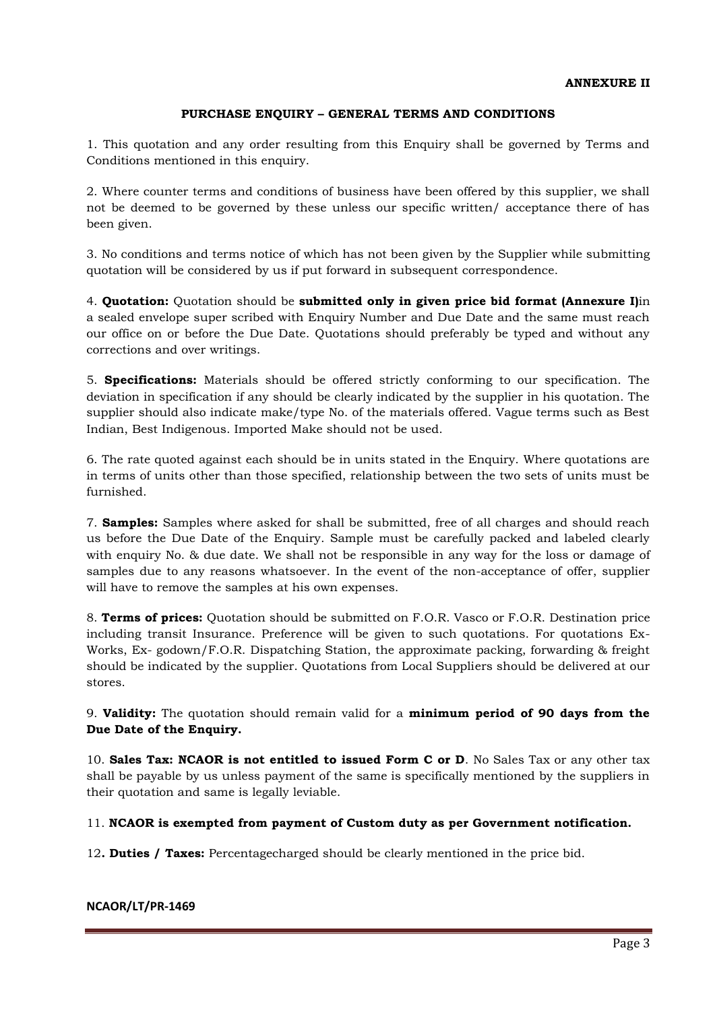# **PURCHASE ENQUIRY – GENERAL TERMS AND CONDITIONS**

1. This quotation and any order resulting from this Enquiry shall be governed by Terms and Conditions mentioned in this enquiry.

2. Where counter terms and conditions of business have been offered by this supplier, we shall not be deemed to be governed by these unless our specific written/ acceptance there of has been given.

3. No conditions and terms notice of which has not been given by the Supplier while submitting quotation will be considered by us if put forward in subsequent correspondence.

4. **Quotation:** Quotation should be **submitted only in given price bid format (Annexure I)**in a sealed envelope super scribed with Enquiry Number and Due Date and the same must reach our office on or before the Due Date. Quotations should preferably be typed and without any corrections and over writings.

5. **Specifications:** Materials should be offered strictly conforming to our specification. The deviation in specification if any should be clearly indicated by the supplier in his quotation. The supplier should also indicate make/type No. of the materials offered. Vague terms such as Best Indian, Best Indigenous. Imported Make should not be used.

6. The rate quoted against each should be in units stated in the Enquiry. Where quotations are in terms of units other than those specified, relationship between the two sets of units must be furnished.

7. **Samples:** Samples where asked for shall be submitted, free of all charges and should reach us before the Due Date of the Enquiry. Sample must be carefully packed and labeled clearly with enquiry No. & due date. We shall not be responsible in any way for the loss or damage of samples due to any reasons whatsoever. In the event of the non-acceptance of offer, supplier will have to remove the samples at his own expenses.

8. **Terms of prices:** Quotation should be submitted on F.O.R. Vasco or F.O.R. Destination price including transit Insurance. Preference will be given to such quotations. For quotations Ex-Works, Ex- godown/F.O.R. Dispatching Station, the approximate packing, forwarding & freight should be indicated by the supplier. Quotations from Local Suppliers should be delivered at our stores.

9. **Validity:** The quotation should remain valid for a **minimum period of 90 days from the Due Date of the Enquiry.** 

10. **Sales Tax: NCAOR is not entitled to issued Form C or D**. No Sales Tax or any other tax shall be payable by us unless payment of the same is specifically mentioned by the suppliers in their quotation and same is legally leviable.

11. **NCAOR is exempted from payment of Custom duty as per Government notification.**

12**. Duties / Taxes:** Percentagecharged should be clearly mentioned in the price bid.